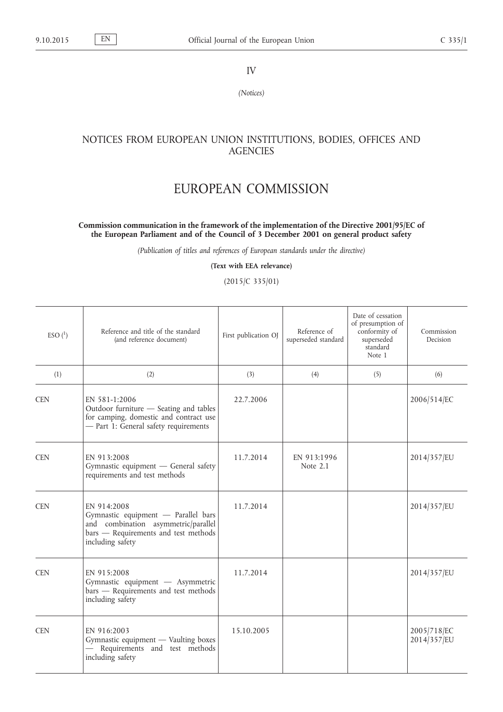IV

*(Notices)*

## NOTICES FROM EUROPEAN UNION INSTITUTIONS, BODIES, OFFICES AND **AGENCIES**

## EUROPEAN COMMISSION

## **Commission communication in the framework of the implementation of the Directive 2001/95/EC of the European Parliament and of the Council of 3 December 2001 on general product safety**

*(Publication of titles and references of European standards under the directive)*

**(Text with EEA relevance)**

(2015/C 335/01)

| $ESO(^{1})$ | Reference and title of the standard<br>(and reference document)                                                                                       | First publication OJ | Reference of<br>superseded standard | Date of cessation<br>of presumption of<br>conformity of<br>superseded<br>standard<br>Note 1 | Commission<br>Decision     |
|-------------|-------------------------------------------------------------------------------------------------------------------------------------------------------|----------------------|-------------------------------------|---------------------------------------------------------------------------------------------|----------------------------|
| (1)         | (2)                                                                                                                                                   | (3)                  | (4)                                 | (5)                                                                                         | (6)                        |
| <b>CEN</b>  | EN 581-1:2006<br>Outdoor furniture - Seating and tables<br>for camping, domestic and contract use<br>- Part 1: General safety requirements            | 22.7.2006            |                                     |                                                                                             | 2006/514/EC                |
| <b>CEN</b>  | EN 913:2008<br>Gymnastic equipment - General safety<br>requirements and test methods                                                                  | 11.7.2014            | EN 913:1996<br>Note 2.1             |                                                                                             | 2014/357/EU                |
| <b>CEN</b>  | EN 914:2008<br>Gymnastic equipment - Parallel bars<br>and combination asymmetric/parallel<br>bars - Requirements and test methods<br>including safety | 11.7.2014            |                                     |                                                                                             | 2014/357/EU                |
| <b>CEN</b>  | EN 915:2008<br>Gymnastic equipment - Asymmetric<br>bars - Requirements and test methods<br>including safety                                           | 11.7.2014            |                                     |                                                                                             | 2014/357/EU                |
| <b>CEN</b>  | EN 916:2003<br>Gymnastic equipment - Vaulting boxes<br>- Requirements and test methods<br>including safety                                            | 15.10.2005           |                                     |                                                                                             | 2005/718/EC<br>2014/357/EU |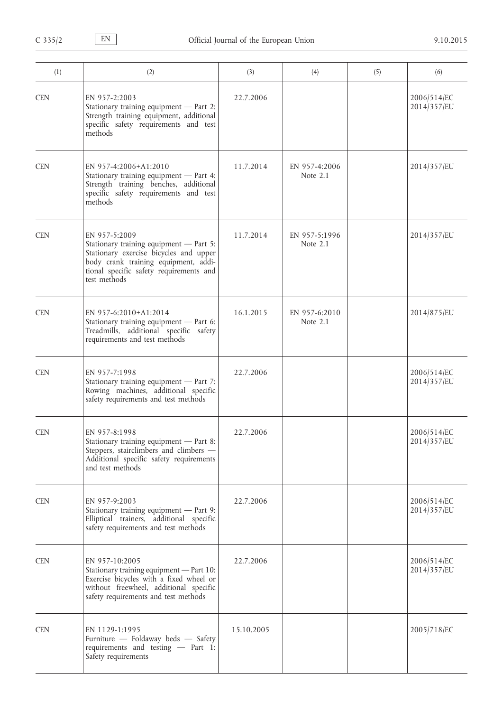| (1)        | (2)                                                                                                                                                                                                   | (3)        | (4)                       | (5) | (6)                        |
|------------|-------------------------------------------------------------------------------------------------------------------------------------------------------------------------------------------------------|------------|---------------------------|-----|----------------------------|
| <b>CEN</b> | EN 957-2:2003<br>Stationary training equipment - Part 2:<br>Strength training equipment, additional<br>specific safety requirements and test<br>methods                                               | 22.7.2006  |                           |     | 2006/514/EC<br>2014/357/EU |
| <b>CEN</b> | EN 957-4:2006+A1:2010<br>Stationary training equipment - Part 4:<br>Strength training benches, additional<br>specific safety requirements and test<br>methods                                         | 11.7.2014  | EN 957-4:2006<br>Note 2.1 |     | 2014/357/EU                |
| <b>CEN</b> | EN 957-5:2009<br>Stationary training equipment - Part 5:<br>Stationary exercise bicycles and upper<br>body crank training equipment, addi-<br>tional specific safety requirements and<br>test methods | 11.7.2014  | EN 957-5:1996<br>Note 2.1 |     | 2014/357/EU                |
| <b>CEN</b> | EN 957-6:2010+A1:2014<br>Stationary training equipment - Part 6:<br>Treadmills, additional specific safety<br>requirements and test methods                                                           | 16.1.2015  | EN 957-6:2010<br>Note 2.1 |     | 2014/875/EU                |
| <b>CEN</b> | EN 957-7:1998<br>Stationary training equipment - Part 7:<br>Rowing machines, additional specific<br>safety requirements and test methods                                                              | 22.7.2006  |                           |     | 2006/514/EC<br>2014/357/EU |
| <b>CEN</b> | EN 957-8:1998<br>Stationary training equipment - Part 8:<br>Steppers, stairclimbers and climbers -<br>Additional specific safety requirements<br>and test methods                                     | 22.7.2006  |                           |     | 2006/514/EC<br>2014/357/EU |
| <b>CEN</b> | EN 957-9:2003<br>Stationary training equipment - Part 9:<br>Elliptical trainers, additional specific<br>safety requirements and test methods                                                          | 22.7.2006  |                           |     | 2006/514/EC<br>2014/357/EU |
| <b>CEN</b> | EN 957-10:2005<br>Stationary training equipment - Part 10:<br>Exercise bicycles with a fixed wheel or<br>without freewheel, additional specific<br>safety requirements and test methods               | 22.7.2006  |                           |     | 2006/514/EC<br>2014/357/EU |
| <b>CEN</b> | EN 1129-1:1995<br>Furniture - Foldaway beds - Safety<br>requirements and testing - Part 1:<br>Safety requirements                                                                                     | 15.10.2005 |                           |     | 2005/718/EC                |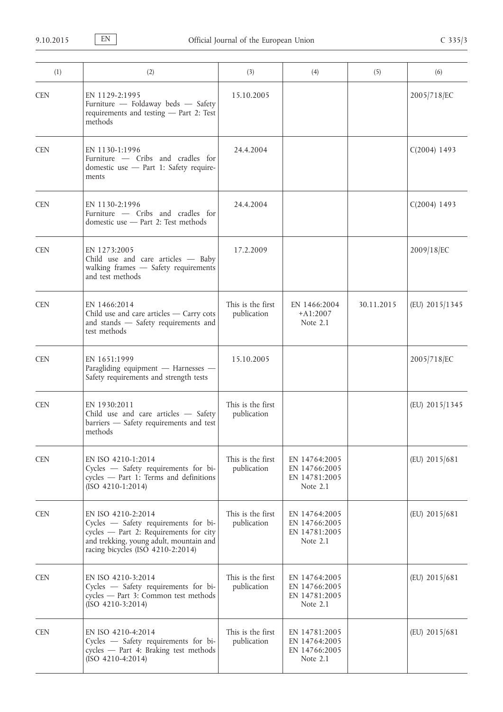| (1)        | (2)                                                                                                                                                                                  | (3)                              | (4)                                                           | (5)        | (6)            |
|------------|--------------------------------------------------------------------------------------------------------------------------------------------------------------------------------------|----------------------------------|---------------------------------------------------------------|------------|----------------|
| <b>CEN</b> | EN 1129-2:1995<br>Furniture - Foldaway beds - Safety<br>requirements and testing - Part 2: Test<br>methods                                                                           | 15.10.2005                       |                                                               |            | 2005/718/EC    |
| <b>CEN</b> | EN 1130-1:1996<br>Furniture - Cribs and cradles for<br>domestic use - Part 1: Safety require-<br>ments                                                                               | 24.4.2004                        |                                                               |            | $C(2004)$ 1493 |
| <b>CEN</b> | EN 1130-2:1996<br>Furniture - Cribs and cradles for<br>domestic use - Part 2: Test methods                                                                                           | 24.4.2004                        |                                                               |            | $C(2004)$ 1493 |
| <b>CEN</b> | EN 1273:2005<br>Child use and care articles - Baby<br>walking frames - Safety requirements<br>and test methods                                                                       | 17.2.2009                        |                                                               |            | 2009/18/EC     |
| <b>CEN</b> | EN 1466:2014<br>Child use and care articles $-$ Carry cots<br>and stands - Safety requirements and<br>test methods                                                                   | This is the first<br>publication | EN 1466:2004<br>$+A1:2007$<br>Note 2.1                        | 30.11.2015 | (EU) 2015/1345 |
| <b>CEN</b> | EN 1651:1999<br>Paragliding equipment - Harnesses -<br>Safety requirements and strength tests                                                                                        | 15.10.2005                       |                                                               |            | 2005/718/EC    |
| <b>CEN</b> | EN 1930:2011<br>Child use and care articles - Safety<br>barriers - Safety requirements and test<br>methods                                                                           | This is the first<br>publication |                                                               |            | (EU) 2015/1345 |
| <b>CEN</b> | EN ISO 4210-1:2014<br>Cycles - Safety requirements for bi-<br>cycles - Part 1: Terms and definitions<br>$(ISO 4210-1:2014)$                                                          | This is the first<br>publication | EN 14764:2005<br>EN 14766:2005<br>EN 14781:2005<br>Note 2.1   |            | (EU) 2015/681  |
| <b>CEN</b> | EN ISO 4210-2:2014<br>Cycles - Safety requirements for bi-<br>cycles - Part 2: Requirements for city<br>and trekking, young adult, mountain and<br>racing bicycles (ISO 4210-2:2014) | This is the first<br>publication | EN 14764:2005<br>EN 14766:2005<br>EN 14781:2005<br>Note 2.1   |            | (EU) 2015/681  |
| <b>CEN</b> | EN ISO 4210-3:2014<br>Cycles - Safety requirements for bi-<br>cycles - Part 3: Common test methods<br>$(ISO 4210-3:2014)$                                                            | This is the first<br>publication | EN 14764:2005<br>EN 14766:2005<br>EN 14781:2005<br>Note $2.1$ |            | (EU) 2015/681  |
| <b>CEN</b> | EN ISO 4210-4:2014<br>Cycles - Safety requirements for bi-<br>cycles - Part 4: Braking test methods<br>$(ISO 4210-4:2014)$                                                           | This is the first<br>publication | EN 14781:2005<br>EN 14764:2005<br>EN 14766:2005<br>Note $2.1$ |            | (EU) 2015/681  |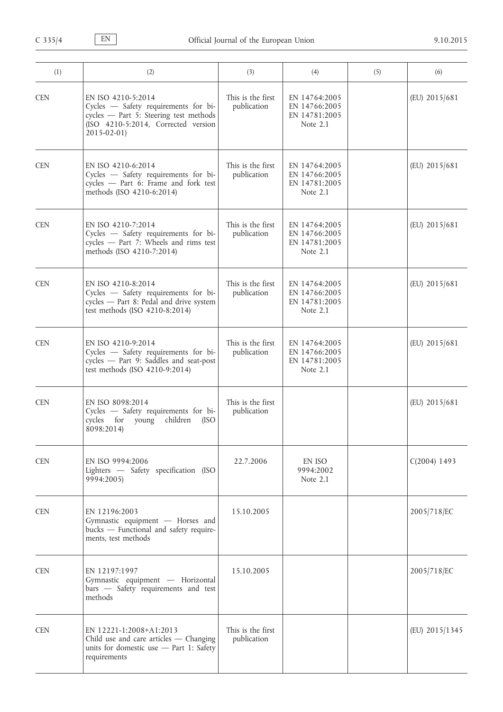| (1)        | (2)                                                                                                                                                             | (3)                              | (4)                                                           | (5) | (6)            |
|------------|-----------------------------------------------------------------------------------------------------------------------------------------------------------------|----------------------------------|---------------------------------------------------------------|-----|----------------|
| <b>CEN</b> | EN ISO 4210-5:2014<br>Cycles - Safety requirements for bi-<br>cycles - Part 5: Steering test methods<br>(ISO 4210-5:2014, Corrected version<br>$2015 - 02 - 01$ | This is the first<br>publication | EN 14764:2005<br>EN 14766:2005<br>EN 14781:2005<br>Note $2.1$ |     | (EU) 2015/681  |
| <b>CEN</b> | EN ISO 4210-6:2014<br>Cycles - Safety requirements for bi-<br>cycles - Part 6: Frame and fork test<br>methods (ISO 4210-6:2014)                                 | This is the first<br>publication | EN 14764:2005<br>EN 14766:2005<br>EN 14781:2005<br>Note $2.1$ |     | (EU) 2015/681  |
| <b>CEN</b> | EN ISO 4210-7:2014<br>Cycles - Safety requirements for bi-<br>cycles - Part 7: Wheels and rims test<br>methods (ISO 4210-7:2014)                                | This is the first<br>publication | EN 14764:2005<br>EN 14766:2005<br>EN 14781:2005<br>Note $2.1$ |     | (EU) 2015/681  |
| <b>CEN</b> | EN ISO 4210-8:2014<br>Cycles - Safety requirements for bi-<br>cycles - Part 8: Pedal and drive system<br>test methods (ISO 4210-8:2014)                         | This is the first<br>publication | EN 14764:2005<br>EN 14766:2005<br>EN 14781:2005<br>Note $2.1$ |     | (EU) 2015/681  |
| <b>CEN</b> | EN ISO 4210-9:2014<br>Cycles - Safety requirements for bi-<br>cycles - Part 9: Saddles and seat-post<br>test methods (ISO 4210-9:2014)                          | This is the first<br>publication | EN 14764:2005<br>EN 14766:2005<br>EN 14781:2005<br>Note 2.1   |     | (EU) 2015/681  |
| <b>CEN</b> | EN ISO 8098:2014<br>Cycles - Safety requirements for bi-<br>children<br>cycles for<br>young<br>(ISO<br>8098:2014)                                               | This is the first<br>publication |                                                               |     | (EU) 2015/681  |
| <b>CEN</b> | EN ISO 9994:2006<br>Lighters - Safety specification (ISO<br>9994:2005)                                                                                          | 22.7.2006                        | EN ISO<br>9994:2002<br>Note 2.1                               |     | $C(2004)$ 1493 |
| <b>CEN</b> | EN 12196:2003<br>Gymnastic equipment - Horses and<br>bucks - Functional and safety require-<br>ments, test methods                                              | 15.10.2005                       |                                                               |     | 2005/718/EC    |
| <b>CEN</b> | EN 12197:1997<br>Gymnastic equipment - Horizontal<br>bars - Safety requirements and test<br>methods                                                             | 15.10.2005                       |                                                               |     | 2005/718/EC    |
| <b>CEN</b> | EN 12221-1:2008+A1:2013<br>Child use and care articles $-$ Changing<br>units for domestic use - Part 1: Safety<br>requirements                                  | This is the first<br>publication |                                                               |     | (EU) 2015/1345 |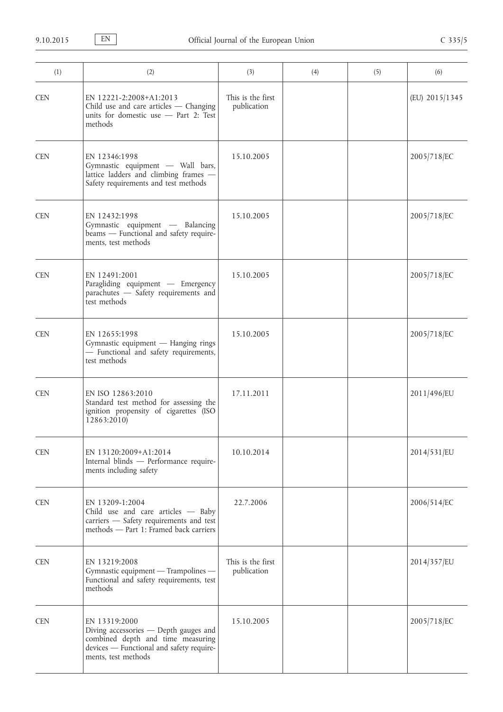| (1)        | (2)                                                                                                                                                            | (3)                              | (4) | (5) | (6)            |
|------------|----------------------------------------------------------------------------------------------------------------------------------------------------------------|----------------------------------|-----|-----|----------------|
| <b>CEN</b> | EN 12221-2:2008+A1:2013<br>Child use and care articles $-$ Changing<br>units for domestic use $-$ Part 2: Test<br>methods                                      | This is the first<br>publication |     |     | (EU) 2015/1345 |
| <b>CEN</b> | EN 12346:1998<br>Gymnastic equipment - Wall bars,<br>lattice ladders and climbing frames -<br>Safety requirements and test methods                             | 15.10.2005                       |     |     | 2005/718/EC    |
| <b>CEN</b> | EN 12432:1998<br>Gymnastic equipment - Balancing<br>beams - Functional and safety require-<br>ments, test methods                                              | 15.10.2005                       |     |     | 2005/718/EC    |
| <b>CEN</b> | EN 12491:2001<br>Paragliding equipment - Emergency<br>parachutes - Safety requirements and<br>test methods                                                     | 15.10.2005                       |     |     | 2005/718/EC    |
| <b>CEN</b> | EN 12655:1998<br>Gymnastic equipment - Hanging rings<br>- Functional and safety requirements,<br>test methods                                                  | 15.10.2005                       |     |     | 2005/718/EC    |
| <b>CEN</b> | EN ISO 12863:2010<br>Standard test method for assessing the<br>ignition propensity of cigarettes (ISO<br>12863:2010)                                           | 17.11.2011                       |     |     | 2011/496/EU    |
| <b>CEN</b> | EN 13120:2009+A1:2014<br>Internal blinds - Performance require-<br>ments including safety                                                                      | 10.10.2014                       |     |     | 2014/531/EU    |
| <b>CEN</b> | EN 13209-1:2004<br>Child use and care articles - Baby<br>carriers - Safety requirements and test<br>methods - Part 1: Framed back carriers                     | 22.7.2006                        |     |     | 2006/514/EC    |
| <b>CEN</b> | EN 13219:2008<br>Gymnastic equipment — Trampolines —<br>Functional and safety requirements, test<br>methods                                                    | This is the first<br>publication |     |     | 2014/357/EU    |
| <b>CEN</b> | EN 13319:2000<br>Diving accessories - Depth gauges and<br>combined depth and time measuring<br>devices - Functional and safety require-<br>ments, test methods | 15.10.2005                       |     |     | 2005/718/EC    |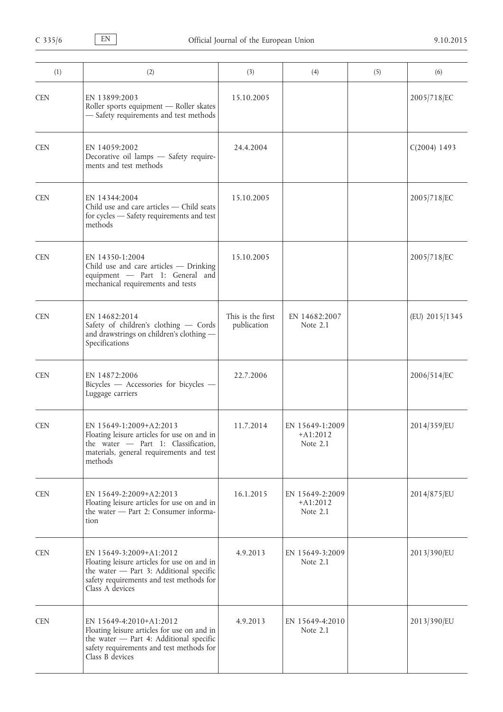| (1)        | (2)                                                                                                                                                                              | (3)                              | (4)                                       | (5) | (6)            |
|------------|----------------------------------------------------------------------------------------------------------------------------------------------------------------------------------|----------------------------------|-------------------------------------------|-----|----------------|
| <b>CEN</b> | EN 13899:2003<br>Roller sports equipment - Roller skates<br>- Safety requirements and test methods                                                                               | 15.10.2005                       |                                           |     | 2005/718/EC    |
| <b>CEN</b> | EN 14059:2002<br>Decorative oil lamps - Safety require-<br>ments and test methods                                                                                                | 24.4.2004                        |                                           |     | $C(2004)$ 1493 |
| <b>CEN</b> | EN 14344:2004<br>Child use and care articles - Child seats<br>for cycles - Safety requirements and test<br>methods                                                               | 15.10.2005                       |                                           |     | 2005/718/EC    |
| <b>CEN</b> | EN 14350-1:2004<br>Child use and care articles - Drinking<br>equipment - Part 1: General and<br>mechanical requirements and tests                                                | 15.10.2005                       |                                           |     | 2005/718/EC    |
| <b>CEN</b> | EN 14682:2014<br>Safety of children's clothing - Cords<br>and drawstrings on children's clothing -<br>Specifications                                                             | This is the first<br>publication | EN 14682:2007<br>Note 2.1                 |     | (EU) 2015/1345 |
| <b>CEN</b> | EN 14872:2006<br>Bicycles - Accessories for bicycles -<br>Luggage carriers                                                                                                       | 22.7.2006                        |                                           |     | 2006/514/EC    |
| <b>CEN</b> | EN 15649-1:2009+A2:2013<br>Floating leisure articles for use on and in<br>the water $-$ Part 1: Classification,<br>materials, general requirements and test<br>methods           | 11.7.2014                        | EN 15649-1:2009<br>$+A1:2012$<br>Note 2.1 |     | 2014/359/EU    |
| <b>CEN</b> | EN 15649-2:2009+A2:2013<br>Floating leisure articles for use on and in<br>the water - Part 2: Consumer informa-<br>tion                                                          | 16.1.2015                        | EN 15649-2:2009<br>$+A1:2012$<br>Note 2.1 |     | 2014/875/EU    |
| <b>CEN</b> | EN 15649-3:2009+A1:2012<br>Floating leisure articles for use on and in<br>the water - Part 3: Additional specific<br>safety requirements and test methods for<br>Class A devices | 4.9.2013                         | EN 15649-3:2009<br>Note 2.1               |     | 2013/390/EU    |
| <b>CEN</b> | EN 15649-4:2010+A1:2012<br>Floating leisure articles for use on and in<br>the water - Part 4: Additional specific<br>safety requirements and test methods for<br>Class B devices | 4.9.2013                         | EN 15649-4:2010<br>Note 2.1               |     | 2013/390/EU    |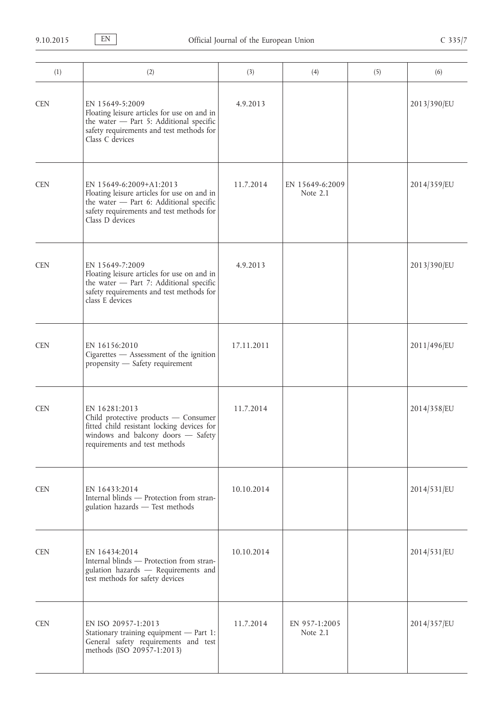| (1)        | (2)                                                                                                                                                                              | (3)        | (4)                         | (5) | (6)         |
|------------|----------------------------------------------------------------------------------------------------------------------------------------------------------------------------------|------------|-----------------------------|-----|-------------|
| <b>CEN</b> | EN 15649-5:2009<br>Floating leisure articles for use on and in<br>the water - Part 5: Additional specific<br>safety requirements and test methods for<br>Class C devices         | 4.9.2013   |                             |     | 2013/390/EU |
| <b>CEN</b> | EN 15649-6:2009+A1:2013<br>Floating leisure articles for use on and in<br>the water - Part 6: Additional specific<br>safety requirements and test methods for<br>Class D devices | 11.7.2014  | EN 15649-6:2009<br>Note 2.1 |     | 2014/359/EU |
| <b>CEN</b> | EN 15649-7:2009<br>Floating leisure articles for use on and in<br>the water - Part 7: Additional specific<br>safety requirements and test methods for<br>class E devices         | 4.9.2013   |                             |     | 2013/390/EU |
| <b>CEN</b> | EN 16156:2010<br>Cigarettes - Assessment of the ignition<br>propensity - Safety requirement                                                                                      | 17.11.2011 |                             |     | 2011/496/EU |
| <b>CEN</b> | EN 16281:2013<br>Child protective products - Consumer<br>fitted child resistant locking devices for<br>windows and balcony doors - Safety<br>requirements and test methods       | 11.7.2014  |                             |     | 2014/358/EU |
| <b>CEN</b> | EN 16433:2014<br>Internal blinds - Protection from stran-<br>gulation hazards - Test methods                                                                                     | 10.10.2014 |                             |     | 2014/531/EU |
| <b>CEN</b> | EN 16434:2014<br>Internal blinds - Protection from stran-<br>gulation hazards - Requirements and<br>test methods for safety devices                                              | 10.10.2014 |                             |     | 2014/531/EU |
| <b>CEN</b> | EN ISO 20957-1:2013<br>Stationary training equipment - Part 1:<br>General safety requirements and test<br>methods (ISO 20957-1:2013)                                             | 11.7.2014  | EN 957-1:2005<br>Note 2.1   |     | 2014/357/EU |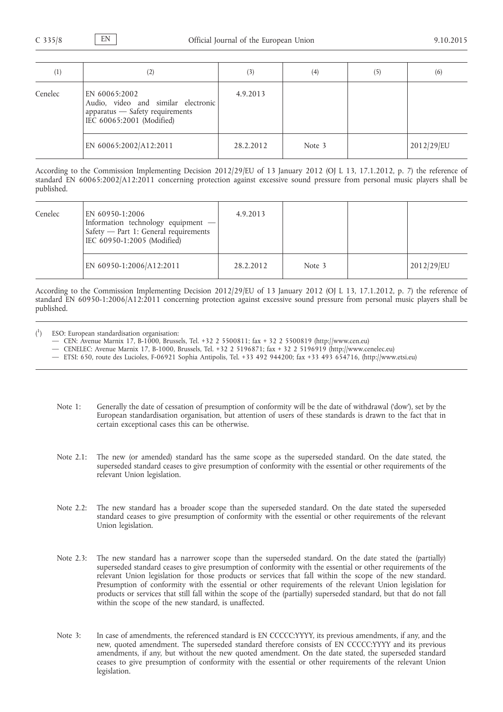| $\left(1\right)$ | $\left( 2\right)$                                                                                                    | (3)       | (4)    | (5) | (6)        |
|------------------|----------------------------------------------------------------------------------------------------------------------|-----------|--------|-----|------------|
| Cenelec          | EN 60065:2002<br>Audio, video and similar electronic<br>apparatus - Safety requirements<br>IEC 60065:2001 (Modified) | 4.9.2013  |        |     |            |
|                  | EN 60065:2002/A12:2011                                                                                               | 28.2.2012 | Note 3 |     | 2012/29/EU |

According to the Commission Implementing Decision 2012/29/EU of 13 January 2012 (OJ L 13, 17.1.2012, p. 7) the reference of standard EN 60065:2002/A12:2011 concerning protection against excessive sound pressure from personal music players shall be published.

| Cenelec | EN 60950-1:2006<br>Information technology equipment -<br>Safety - Part 1: General requirements<br>IEC 60950-1:2005 (Modified) | 4.9.2013  |        |            |
|---------|-------------------------------------------------------------------------------------------------------------------------------|-----------|--------|------------|
|         | EN 60950-1:2006/A12:2011                                                                                                      | 28.2.2012 | Note 3 | 2012/29/EU |

According to the Commission Implementing Decision 2012/29/EU of 13 January 2012 (OJ L 13, 17.1.2012, p. 7) the reference of standard EN 60950-1:2006/A12:2011 concerning protection against excessive sound pressure from personal music players shall be published.

- $($ <sup>1</sup> ) ESO: European standardisation organisation:
	- CEN: Avenue Marnix 17, B-1000, Brussels, Tel. +32 2 5500811; fax + 32 2 5500819 [\(http://www.cen.eu\)](http://www.cen.eu)

— CENELEC: Avenue Marnix 17, B-1000, Brussels, Tel. +32 2 5196871; fax + 32 2 5196919 ([http://www.cenelec.eu\)](http://www.cenelec.eu)

- ETSI: 650, route des Lucioles, F-06921 Sophia Antipolis, Tel. +33 492 944200; fax +33 493 654716, ([http://www.etsi.eu\)](http://www.etsi.eu)
- Note 1: Generally the date of cessation of presumption of conformity will be the date of withdrawal ('dow'), set by the European standardisation organisation, but attention of users of these standards is drawn to the fact that in certain exceptional cases this can be otherwise.
- Note 2.1: The new (or amended) standard has the same scope as the superseded standard. On the date stated, the superseded standard ceases to give presumption of conformity with the essential or other requirements of the relevant Union legislation.
- Note 2.2: The new standard has a broader scope than the superseded standard. On the date stated the superseded standard ceases to give presumption of conformity with the essential or other requirements of the relevant Union legislation.
- Note 2.3: The new standard has a narrower scope than the superseded standard. On the date stated the (partially) superseded standard ceases to give presumption of conformity with the essential or other requirements of the relevant Union legislation for those products or services that fall within the scope of the new standard. Presumption of conformity with the essential or other requirements of the relevant Union legislation for products or services that still fall within the scope of the (partially) superseded standard, but that do not fall within the scope of the new standard, is unaffected.
- Note 3: In case of amendments, the referenced standard is EN CCCCC: YYYY, its previous amendments, if any, and the new, quoted amendment. The superseded standard therefore consists of EN CCCCC:YYYY and its previous amendments, if any, but without the new quoted amendment. On the date stated, the superseded standard ceases to give presumption of conformity with the essential or other requirements of the relevant Union legislation.